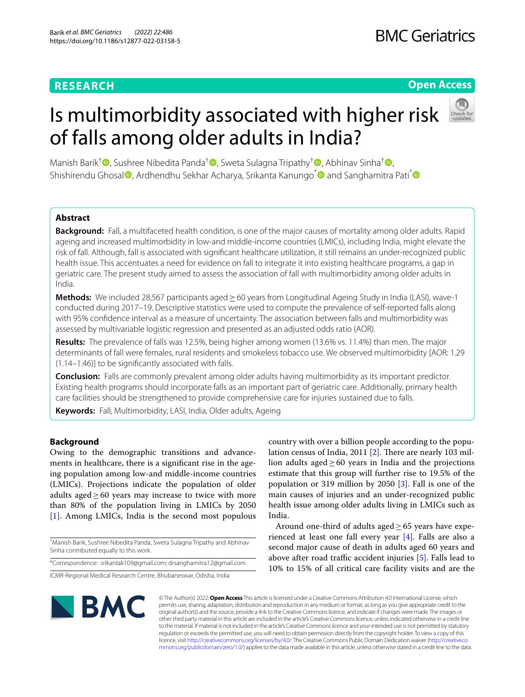# **RESEARCH**

# **Open Access**

# Is multimorbidity associated with higher risk

Manish Barik<sup>†</sup> [,](http://orcid.org/0000-0001-7702-3671) Sushree Nibedita Panda<sup>[†](http://orcid.org/0000-0002-4643-3317)</sup> , Sweta Sulagna Tripathy<sup>†</sup> , Abhinav Sinha<sup>†</sup> , **Abhinav Sinha**<sup>†</sup> , Abhinav Sinha<sup>†</sup> , Abhinav Sinha<sup>†</sup> , Abhinav Sinha<sup>†</sup> , Abhinav Sinha<sup>†</sup> , Abhinav Sinha<sup>†</sup> , Abhinav Sinh Shishirendu Ghosal<sup>®</sup>[,](http://orcid.org/0000-0003-1833-3703) Ardhendhu Sekhar Acharya, Srikanta Kanungo<sup>\*</sup> and Sanghamitra Pati<sup>\*®</sup>

of falls among older adults in India?

# **Abstract**

**Background:** Fall, a multifaceted health condition, is one of the major causes of mortality among older adults. Rapid ageing and increased multimorbidity in low-and middle-income countries (LMICs), including India, might elevate the risk of fall. Although, fall is associated with signifcant healthcare utilization, it still remains an under-recognized public health issue. This accentuates a need for evidence on fall to integrate it into existing healthcare programs, a gap in geriatric care. The present study aimed to assess the association of fall with multimorbidity among older adults in India.

**Methods:** We included 28,567 participants aged ≥60 years from Longitudinal Ageing Study in India (LASI), wave-1 conducted during 2017–19. Descriptive statistics were used to compute the prevalence of self-reported falls along with 95% confdence interval as a measure of uncertainty. The association between falls and multimorbidity was assessed by multivariable logistic regression and presented as an adjusted odds ratio (AOR).

**Results:** The prevalence of falls was 12.5%, being higher among women (13.6% vs. 11.4%) than men. The major determinants of fall were females, rural residents and smokeless tobacco use. We observed multimorbidity [AOR: 1.29 (1.14–1.46)] to be signifcantly associated with falls.

**Conclusion:** Falls are commonly prevalent among older adults having multimorbidity as its important predictor. Existing health programs should incorporate falls as an important part of geriatric care. Additionally, primary health care facilities should be strengthened to provide comprehensive care for injuries sustained due to falls.

**Keywords:** Fall, Multimorbidity, LASI, India, Older adults, Ageing

## **Background**

Owing to the demographic transitions and advancements in healthcare, there is a signifcant rise in the ageing population among low-and middle-income countries (LMICs). Projections indicate the population of older adults aged $\geq$  60 years may increase to twice with more than 80% of the population living in LMICs by 2050 [[1\]](#page-6-0). Among LMICs, India is the second most populous

† Manish Barik, Sushree Nibedita Panda, Sweta Sulagna Tripathy and Abhinav Sinha contributed equally to this work.

\*Correspondence: srikantak109@gmail.com; drsanghamitra12@gmail.com

ICMR-Regional Medical Research Centre, Bhubaneswar, Odisha, India

country with over a billion people according to the popu-lation census of India, [2](#page-6-1)011  $[2]$ . There are nearly 103 million adults aged $≥60$  years in India and the projections estimate that this group will further rise to 19.5% of the population or 319 million by 2050 [[3](#page-6-2)]. Fall is one of the main causes of injuries and an under-recognized public health issue among older adults living in LMICs such as India.

Around one-third of adults aged $\geq 65$  years have experienced at least one fall every year [\[4](#page-6-3)]. Falls are also a second major cause of death in adults aged 60 years and above after road traffic accident injuries  $[5]$  $[5]$ . Falls lead to 10% to 15% of all critical care facility visits and are the



© The Author(s) 2022. **Open Access** This article is licensed under a Creative Commons Attribution 4.0 International License, which permits use, sharing, adaptation, distribution and reproduction in any medium or format, as long as you give appropriate credit to the original author(s) and the source, provide a link to the Creative Commons licence, and indicate if changes were made. The images or other third party material in this article are included in the article's Creative Commons licence, unless indicated otherwise in a credit line to the material. If material is not included in the article's Creative Commons licence and your intended use is not permitted by statutory regulation or exceeds the permitted use, you will need to obtain permission directly from the copyright holder. To view a copy of this licence, visit [http://creativecommons.org/licenses/by/4.0/.](http://creativecommons.org/licenses/by/4.0/) The Creative Commons Public Domain Dedication waiver ([http://creativeco](http://creativecommons.org/publicdomain/zero/1.0/) [mmons.org/publicdomain/zero/1.0/](http://creativecommons.org/publicdomain/zero/1.0/)) applies to the data made available in this article, unless otherwise stated in a credit line to the data.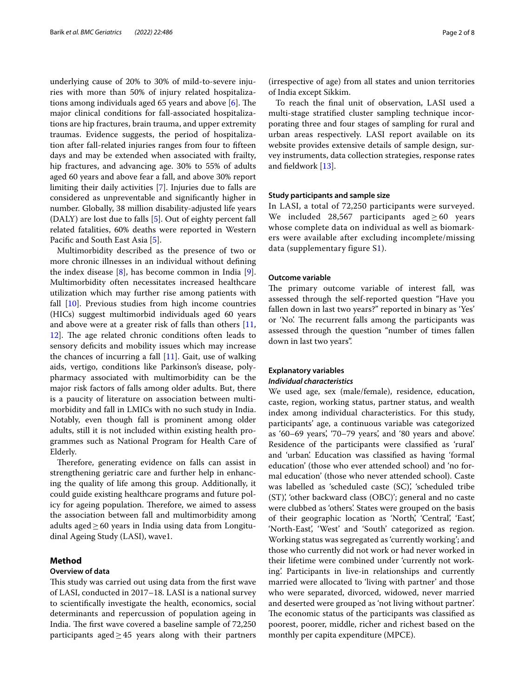underlying cause of 20% to 30% of mild-to-severe injuries with more than 50% of injury related hospitalizations among individuals aged 65 years and above  $[6]$  $[6]$ . The major clinical conditions for fall-associated hospitalizations are hip fractures, brain trauma, and upper extremity traumas. Evidence suggests, the period of hospitalization after fall-related injuries ranges from four to ffteen days and may be extended when associated with frailty, hip fractures, and advancing age. 30% to 55% of adults aged 60 years and above fear a fall, and above 30% report limiting their daily activities [\[7](#page-7-2)]. Injuries due to falls are considered as unpreventable and signifcantly higher in number. Globally, 38 million disability-adjusted life years (DALY) are lost due to falls [\[5](#page-7-0)]. Out of eighty percent fall related fatalities, 60% deaths were reported in Western Pacific and South East Asia [\[5\]](#page-7-0).

Multimorbidity described as the presence of two or more chronic illnesses in an individual without defning the index disease  $[8]$  $[8]$ , has become common in India  $[9]$  $[9]$ . Multimorbidity often necessitates increased healthcare utilization which may further rise among patients with fall [\[10\]](#page-7-5). Previous studies from high income countries (HICs) suggest multimorbid individuals aged 60 years and above were at a greater risk of falls than others [\[11](#page-7-6), [12\]](#page-7-7). The age related chronic conditions often leads to sensory deficits and mobility issues which may increase the chances of incurring a fall  $[11]$  $[11]$ . Gait, use of walking aids, vertigo, conditions like Parkinson's disease, polypharmacy associated with multimorbidity can be the major risk factors of falls among older adults. But, there is a paucity of literature on association between multimorbidity and fall in LMICs with no such study in India. Notably, even though fall is prominent among older adults, still it is not included within existing health programmes such as National Program for Health Care of Elderly.

Therefore, generating evidence on falls can assist in strengthening geriatric care and further help in enhancing the quality of life among this group. Additionally, it could guide existing healthcare programs and future policy for ageing population. Therefore, we aimed to assess the association between fall and multimorbidity among adults aged $≥60$  years in India using data from Longitudinal Ageing Study (LASI), wave1.

## **Method**

### **Overview of data**

This study was carried out using data from the first wave of LASI, conducted in 2017–18. LASI is a national survey to scientifcally investigate the health, economics, social determinants and repercussion of population ageing in India. The first wave covered a baseline sample of 72,250 participants aged $\geq$ 45 years along with their partners

(irrespective of age) from all states and union territories of India except Sikkim.

To reach the fnal unit of observation, LASI used a multi-stage stratifed cluster sampling technique incorporating three and four stages of sampling for rural and urban areas respectively. LASI report available on its website provides extensive details of sample design, survey instruments, data collection strategies, response rates and feldwork [\[13\]](#page-7-8).

### **Study participants and sample size**

In LASI, a total of 72,250 participants were surveyed. We included 28,567 participants aged  $\geq 60$  years whose complete data on individual as well as biomarkers were available after excluding incomplete/missing data (supplementary figure S[1\)](#page-6-4).

#### **Outcome variable**

The primary outcome variable of interest fall, was assessed through the self-reported question "Have you fallen down in last two years?" reported in binary as 'Yes' or 'No'. The recurrent falls among the participants was assessed through the question "number of times fallen down in last two years".

## **Explanatory variables** *Individual characteristics*

We used age, sex (male/female), residence, education, caste, region, working status, partner status, and wealth index among individual characteristics. For this study, participants' age, a continuous variable was categorized as '60–69 years', '70–79 years', and '80 years and above'. Residence of the participants were classifed as 'rural' and 'urban'. Education was classifed as having 'formal education' (those who ever attended school) and 'no formal education' (those who never attended school). Caste was labelled as 'scheduled caste (SC)', 'scheduled tribe (ST)', 'other backward class (OBC)'; general and no caste were clubbed as 'others'. States were grouped on the basis of their geographic location as 'North', 'Central', 'East', 'North-East', 'West' and 'South' categorized as region. Working status was segregated as 'currently working'; and those who currently did not work or had never worked in their lifetime were combined under 'currently not working'. Participants in live-in relationships and currently married were allocated to 'living with partner' and those who were separated, divorced, widowed, never married and deserted were grouped as 'not living without partner'. The economic status of the participants was classified as poorest, poorer, middle, richer and richest based on the monthly per capita expenditure (MPCE).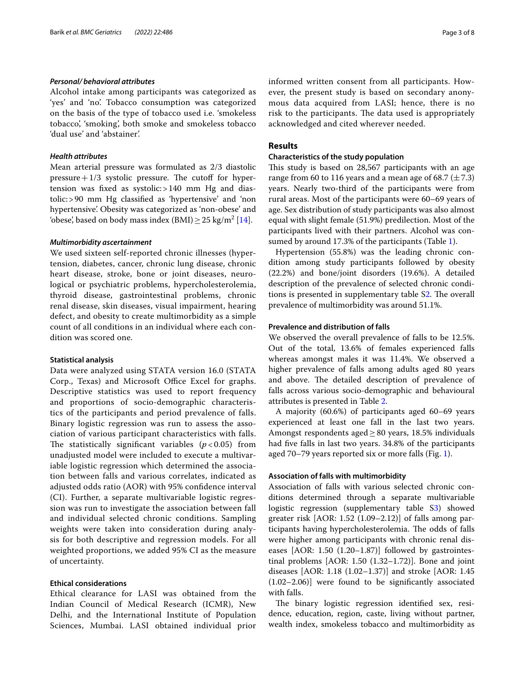## *Personal/ behavioral attributes*

Alcohol intake among participants was categorized as 'yes' and 'no'. Tobacco consumption was categorized on the basis of the type of tobacco used i.e. 'smokeless tobacco', 'smoking', both smoke and smokeless tobacco 'dual use' and 'abstainer'.

## *Health attributes*

Mean arterial pressure was formulated as 2/3 diastolic  $pressure+1/3$  systolic pressure. The cutoff for hypertension was fxed as systolic:>140 mm Hg and diastolic:>90 mm Hg classifed as 'hypertensive' and 'non hypertensive'. Obesity was categorized as 'non-obese' and 'obese', based on body mass index  $(BMI) \geq 25 \text{ kg/m}^2 \cdot 14$ .

#### *Multimorbidity ascertainment*

We used sixteen self-reported chronic illnesses (hypertension, diabetes, cancer, chronic lung disease, chronic heart disease, stroke, bone or joint diseases, neurological or psychiatric problems, hypercholesterolemia, thyroid disease, gastrointestinal problems, chronic renal disease, skin diseases, visual impairment, hearing defect, and obesity to create multimorbidity as a simple count of all conditions in an individual where each condition was scored one.

#### **Statistical analysis**

Data were analyzed using STATA version 16.0 (STATA Corp., Texas) and Microsoft Office Excel for graphs. Descriptive statistics was used to report frequency and proportions of socio-demographic characteristics of the participants and period prevalence of falls. Binary logistic regression was run to assess the association of various participant characteristics with falls. The statistically significant variables  $(p < 0.05)$  from unadjusted model were included to execute a multivariable logistic regression which determined the association between falls and various correlates, indicated as adjusted odds ratio (AOR) with 95% confdence interval (CI). Further, a separate multivariable logistic regression was run to investigate the association between fall and individual selected chronic conditions. Sampling weights were taken into consideration during analysis for both descriptive and regression models. For all weighted proportions, we added 95% CI as the measure of uncertainty.

## **Ethical considerations**

Ethical clearance for LASI was obtained from the Indian Council of Medical Research (ICMR), New Delhi, and the International Institute of Population Sciences, Mumbai. LASI obtained individual prior informed written consent from all participants. However, the present study is based on secondary anonymous data acquired from LASI; hence, there is no risk to the participants. The data used is appropriately acknowledged and cited wherever needed.

## **Results**

#### **Characteristics of the study population**

This study is based on 28,567 participants with an age range from 60 to 116 years and a mean age of 68.7  $(\pm 7.3)$ years. Nearly two-third of the participants were from rural areas. Most of the participants were 60–69 years of age. Sex distribution of study participants was also almost equal with slight female (51.9%) predilection. Most of the participants lived with their partners. Alcohol was consumed by around 17.3% of the participants (Table [1\)](#page-3-0).

Hypertension (55.8%) was the leading chronic condition among study participants followed by obesity (22.2%) and bone/joint disorders (19.6%). A detailed description of the prevalence of selected chronic condi-tions is presented in supplementary table S[2.](#page-6-4) The overall prevalence of multimorbidity was around 51.1%.

#### **Prevalence and distribution of falls**

We observed the overall prevalence of falls to be 12.5%. Out of the total, 13.6% of females experienced falls whereas amongst males it was 11.4%. We observed a higher prevalence of falls among adults aged 80 years and above. The detailed description of prevalence of falls across various socio-demographic and behavioural attributes is presented in Table [2](#page-3-1).

A majority (60.6%) of participants aged 60–69 years experienced at least one fall in the last two years. Amongst respondents aged≥80 years, 18.5% individuals had five falls in last two years. 34.8% of the participants aged 70–79 years reported six or more falls (Fig. [1\)](#page-4-0).

## **Association of falls with multimorbidity**

Association of falls with various selected chronic conditions determined through a separate multivariable logistic regression (supplementary table S[3](#page-6-4)) showed greater risk [AOR: 1.52 (1.09–2.12)] of falls among participants having hypercholesterolemia. The odds of falls were higher among participants with chronic renal diseases [AOR: 1.50 (1.20–1.87)] followed by gastrointestinal problems [AOR: 1.50 (1.32–1.72)]. Bone and joint diseases [AOR: 1.18 (1.02–1.37)] and stroke [AOR: 1.45 (1.02–2.06)] were found to be signifcantly associated with falls.

The binary logistic regression identified sex, residence, education, region, caste, living without partner, wealth index, smokeless tobacco and multimorbidity as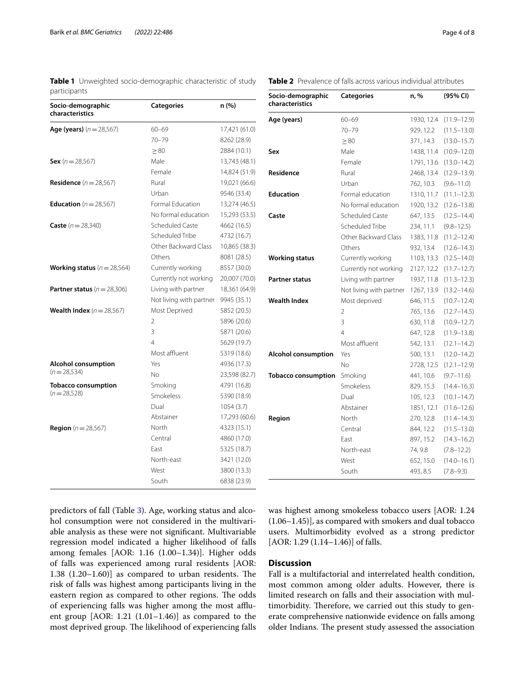<span id="page-3-0"></span>**Table 1** Unweighted socio-demographic characteristic of study participants

| Socio-demographic<br>characteristics   | Categories              | n (%)         |
|----------------------------------------|-------------------------|---------------|
| <b>Age (years)</b> ( $n = 28,567$ )    | $60 - 69$               | 17,421 (61.0) |
|                                        | $70 - 79$               | 8262 (28.9)   |
|                                        | $\geq 80$               | 2884 (10.1)   |
| <b>Sex</b> ( $n = 28,567$ )            | Male                    | 13,743 (48.1) |
|                                        | Female                  | 14,824 (51.9) |
| <b>Residence</b> ( $n = 28,567$ )      | Rural                   | 19,021 (66.6) |
|                                        | Urban                   | 9546 (33.4)   |
| <b>Education</b> ( $n = 28,567$ )      | Formal Education        | 13,274 (46.5) |
|                                        | No formal education     | 15,293 (53.5) |
| <b>Caste</b> $(n = 28,340)$            | Scheduled Caste         | 4662 (16.5)   |
|                                        | Scheduled Tribe         | 4732 (16.7)   |
|                                        | Other Backward Class    | 10,865 (38.3) |
|                                        | Others                  | 8081 (28.5)   |
| <b>Working status</b> $(n=28,564)$     | Currently working       | 8557 (30.0)   |
|                                        | Currently not working   | 20,007 (70.0) |
| <b>Partner status</b> ( $n = 28,306$ ) | Living with partner     | 18,361 (64.9) |
|                                        | Not living with partner | 9945 (35.1)   |
| <b>Wealth Index</b> $(n = 28,567)$     | Most Deprived           | 5852 (20.5)   |
|                                        | $\overline{2}$          | 5896 (20.6)   |
|                                        | 3                       | 5871 (20.6)   |
|                                        | $\overline{4}$          | 5629 (19.7)   |
|                                        | Most affluent           | 5319 (18.6)   |
| <b>Alcohol consumption</b>             | Yes                     | 4936 (17.3)   |
| $(n=28,534)$                           | No                      | 23,598 (82.7) |
| <b>Tobacco consumption</b>             | Smoking                 | 4791 (16.8)   |
| $(n=28,528)$                           | Smokeless               | 5390 (18.9)   |
|                                        | Dual                    | 1054(3.7)     |
|                                        | Abstainer               | 17,293 (60.6) |
| <b>Region</b> ( $n = 28,567$ )         | North                   | 4323 (15.1)   |
|                                        | Central                 | 4860 (17.0)   |
|                                        | Fast                    | 5325 (18.7)   |
|                                        | North-east              | 3421 (12.0)   |
|                                        | West                    | 3800 (13.3)   |
|                                        | South                   | 6838 (23.9)   |

<span id="page-3-1"></span>

| <b>Table 2</b> Prevalence of falls across various individual attributes |
|-------------------------------------------------------------------------|
|-------------------------------------------------------------------------|

| Socio-demographic<br>characteristics | <b>Categories</b>       | n, %       | (95% CI)        |
|--------------------------------------|-------------------------|------------|-----------------|
| Age (years)                          | $60 - 69$               | 1930, 12.4 | $(11.9 - 12.9)$ |
|                                      | $70 - 79$               | 929, 12.2  | $(11.5 - 13.0)$ |
|                                      | $\geq 80$               | 371, 14.3  | $(13.0 - 15.7)$ |
| Sex                                  | Male                    | 1438, 11.4 | $(10.9 - 12.0)$ |
|                                      | Female                  | 1791, 13.6 | $(13.0 - 14.2)$ |
| Residence                            | Rural                   | 2468, 13.4 | $(12.9 - 13.9)$ |
|                                      | Urban                   | 762, 10.3  | $(9.6 - 11.0)$  |
| <b>Education</b>                     | Formal education        | 1310, 11.7 | $(11.1 - 12.3)$ |
|                                      | No formal education     | 1920, 13.2 | $(12.6 - 13.8)$ |
| Caste                                | <b>Scheduled Caste</b>  | 647, 13.5  | $(12.5 - 14.4)$ |
|                                      | Scheduled Tribe         | 234, 11.1  | $(9.8 - 12.5)$  |
|                                      | Other Backward Class    | 1383, 11.8 | $(11.2 - 12.4)$ |
|                                      | Others                  | 932, 13.4  | $(12.6 - 14.3)$ |
| <b>Working status</b>                | Currently working       | 1103, 13.3 | $(12.5 - 14.0)$ |
|                                      | Currently not working   | 2127, 12.2 | $(11.7 - 12.7)$ |
| <b>Partner status</b>                | Living with partner     | 1937, 11.8 | $(11.3 - 12.3)$ |
|                                      | Not living with partner | 1267, 13.9 | $(13.2 - 14.6)$ |
| <b>Wealth Index</b>                  | Most deprived           | 646, 11.5  | $(10.7 - 12.4)$ |
|                                      | 2                       | 765, 13.6  | $(12.7 - 14.5)$ |
|                                      | 3                       | 630, 11.8  | $(10.9 - 12.7)$ |
|                                      | $\overline{4}$          | 647, 12.8  | $(11.9 - 13.8)$ |
|                                      | Most affluent           | 542, 13.1  | $(12.1 - 14.2)$ |
| <b>Alcohol consumption</b>           | Yes                     | 500, 13.1  | $(12.0 - 14.2)$ |
|                                      | Nο                      | 2728, 12.5 | $(12.1 - 12.9)$ |
| <b>Tobacco consumption</b>           | Smoking                 | 441, 10.6  | $(9.7 - 11.6)$  |
|                                      | Smokeless               | 829, 15.3  | $(14.4 - 16.3)$ |
|                                      | Dual                    | 105, 12.3  | $(10.1 - 14.7)$ |
|                                      | Abstainer               | 1851, 12.1 | $(11.6 - 12.6)$ |
| Region                               | North                   | 270, 12.8  | $(11.4 - 14.3)$ |
|                                      | Central                 | 844, 12.2  | $(11.5 - 13.0)$ |
|                                      | East                    | 897, 15.2  | $(14.3 - 16.2)$ |
|                                      | North-east              | 74, 9.8    | $(7.8 - 12.2)$  |
|                                      | West                    | 652, 15.0  | $(14.0 - 16.1)$ |
|                                      | South                   | 493, 8.5   | $(7.8 - 9.3)$   |

predictors of fall (Table [3\)](#page-5-0). Age, working status and alcohol consumption were not considered in the multivariable analysis as these were not signifcant. Multivariable regression model indicated a higher likelihood of falls among females [AOR: 1.16 (1.00–1.34)]. Higher odds of falls was experienced among rural residents [AOR: 1.38  $(1.20-1.60)$ ] as compared to urban residents. The risk of falls was highest among participants living in the eastern region as compared to other regions. The odds of experiencing falls was higher among the most afuent group [AOR: 1.21 (1.01–1.46)] as compared to the most deprived group. The likelihood of experiencing falls was highest among smokeless tobacco users [AOR: 1.24 (1.06–1.45)], as compared with smokers and dual tobacco users. Multimorbidity evolved as a strong predictor [AOR: 1.29 (1.14-1.46)] of falls.

# **Discussion**

Fall is a multifactorial and interrelated health condition, most common among older adults. However, there is limited research on falls and their association with multimorbidity. Therefore, we carried out this study to generate comprehensive nationwide evidence on falls among older Indians. The present study assessed the association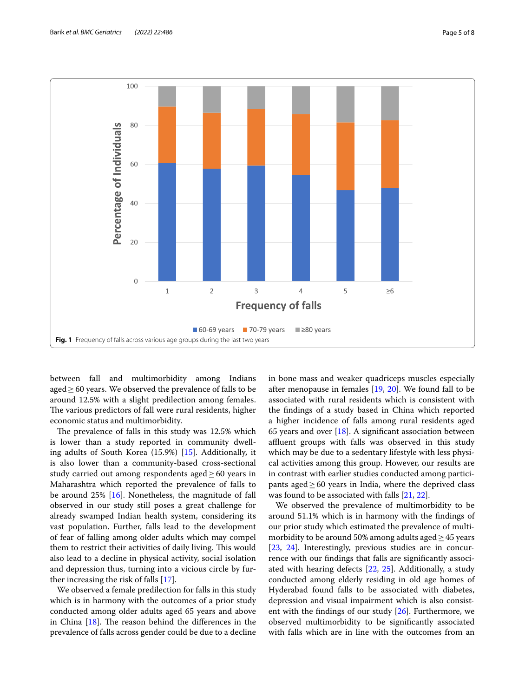

<span id="page-4-0"></span>between fall and multimorbidity among Indians aged  $\geq$  60 years. We observed the prevalence of falls to be around 12.5% with a slight predilection among females. The various predictors of fall were rural residents, higher economic status and multimorbidity.

The prevalence of falls in this study was 12.5% which is lower than a study reported in community dwelling adults of South Korea (15.9%) [[15\]](#page-7-10). Additionally, it is also lower than a community-based cross-sectional study carried out among respondents aged $\geq 60$  years in Maharashtra which reported the prevalence of falls to be around 25% [[16](#page-7-11)]. Nonetheless, the magnitude of fall observed in our study still poses a great challenge for already swamped Indian health system, considering its vast population. Further, falls lead to the development of fear of falling among older adults which may compel them to restrict their activities of daily living. This would also lead to a decline in physical activity, social isolation and depression thus, turning into a vicious circle by further increasing the risk of falls [\[17](#page-7-12)].

We observed a female predilection for falls in this study which is in harmony with the outcomes of a prior study conducted among older adults aged 65 years and above in China  $[18]$ . The reason behind the differences in the prevalence of falls across gender could be due to a decline in bone mass and weaker quadriceps muscles especially after menopause in females [[19](#page-7-14), [20\]](#page-7-15). We found fall to be associated with rural residents which is consistent with the fndings of a study based in China which reported a higher incidence of falls among rural residents aged 65 years and over  $[18]$  $[18]$ . A significant association between affluent groups with falls was observed in this study which may be due to a sedentary lifestyle with less physical activities among this group. However, our results are in contrast with earlier studies conducted among participants aged $\geq$  60 years in India, where the deprived class was found to be associated with falls [\[21](#page-7-16), [22\]](#page-7-17).

We observed the prevalence of multimorbidity to be around 51.1% which is in harmony with the fndings of our prior study which estimated the prevalence of multimorbidity to be around 50% among adults aged  $\geq$  45 years [[23,](#page-7-18) [24\]](#page-7-19). Interestingly, previous studies are in concurrence with our fndings that falls are signifcantly associated with hearing defects [[22,](#page-7-17) [25](#page-7-20)]. Additionally, a study conducted among elderly residing in old age homes of Hyderabad found falls to be associated with diabetes, depression and visual impairment which is also consistent with the findings of our study  $[26]$ . Furthermore, we observed multimorbidity to be signifcantly associated with falls which are in line with the outcomes from an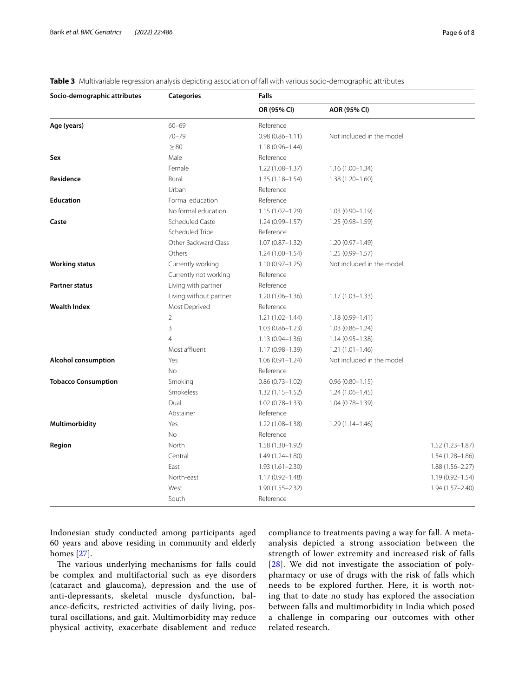<span id="page-5-0"></span>

| <b>Table 3</b> Multivariable regression analysis depicting association of fall with various socio-demographic attributes |  |  |  |  |  |
|--------------------------------------------------------------------------------------------------------------------------|--|--|--|--|--|
|                                                                                                                          |  |  |  |  |  |

| Socio-demographic attributes | Categories             | <b>Falls</b>        |                           |                     |
|------------------------------|------------------------|---------------------|---------------------------|---------------------|
|                              |                        | OR (95% CI)         | AOR (95% CI)              |                     |
| Age (years)                  | $60 - 69$              | Reference           |                           |                     |
|                              | $70 - 79$              | $0.98(0.86 - 1.11)$ | Not included in the model |                     |
|                              | $\geq 80$              | $1.18(0.96 - 1.44)$ |                           |                     |
| Sex                          | Male                   | Reference           |                           |                     |
|                              | Female                 | $1.22(1.08 - 1.37)$ | $1.16(1.00-1.34)$         |                     |
| Residence                    | Rural                  | $1.35(1.18 - 1.54)$ | $1.38(1.20 - 1.60)$       |                     |
|                              | Urban                  | Reference           |                           |                     |
| <b>Education</b>             | Formal education       | Reference           |                           |                     |
|                              | No formal education    | $1.15(1.02 - 1.29)$ | $1.03(0.90 - 1.19)$       |                     |
| Caste                        | Scheduled Caste        | $1.24(0.99 - 1.57)$ | $1.25(0.98 - 1.59)$       |                     |
|                              | Scheduled Tribe        | Reference           |                           |                     |
|                              | Other Backward Class   | $1.07(0.87 - 1.32)$ | $1.20(0.97 - 1.49)$       |                     |
|                              | Others                 | $1.24(1.00 - 1.54)$ | $1.25(0.99 - 1.57)$       |                     |
| <b>Working status</b>        | Currently working      | $1.10(0.97 - 1.25)$ | Not included in the model |                     |
|                              | Currently not working  | Reference           |                           |                     |
| <b>Partner status</b>        | Living with partner    | Reference           |                           |                     |
|                              | Living without partner | $1.20(1.06 - 1.36)$ | $1.17(1.03 - 1.33)$       |                     |
| <b>Wealth Index</b>          | Most Deprived          | Reference           |                           |                     |
|                              | $\overline{2}$         | $1.21(1.02 - 1.44)$ | $1.18(0.99 - 1.41)$       |                     |
|                              | 3                      | $1.03(0.86 - 1.23)$ | $1.03(0.86 - 1.24)$       |                     |
|                              | $\overline{4}$         | $1.13(0.94 - 1.36)$ | $1.14(0.95 - 1.38)$       |                     |
|                              | Most affluent          | $1.17(0.98 - 1.39)$ | $1.21(1.01 - 1.46)$       |                     |
| <b>Alcohol consumption</b>   | Yes                    | $1.06(0.91 - 1.24)$ | Not included in the model |                     |
|                              | No                     | Reference           |                           |                     |
| <b>Tobacco Consumption</b>   | Smoking                | $0.86(0.73 - 1.02)$ | $0.96(0.80 - 1.15)$       |                     |
|                              | Smokeless              | $1.32(1.15 - 1.52)$ | $1.24(1.06 - 1.45)$       |                     |
|                              | Dual                   | $1.02(0.78 - 1.33)$ | $1.04(0.78 - 1.39)$       |                     |
|                              | Abstainer              | Reference           |                           |                     |
| Multimorbidity               | Yes                    | $1.22(1.08 - 1.38)$ | $1.29(1.14 - 1.46)$       |                     |
|                              | <b>No</b>              | Reference           |                           |                     |
| Region                       | North                  | $1.58(1.30 - 1.92)$ |                           | $1.52(1.23 - 1.87)$ |
|                              | Central                | $1.49(1.24 - 1.80)$ |                           | $1.54(1.28 - 1.86)$ |
|                              | East                   | $1.93(1.61 - 2.30)$ |                           | $1.88(1.56 - 2.27)$ |
|                              | North-east             | $1.17(0.92 - 1.48)$ |                           | $1.19(0.92 - 1.54)$ |
|                              | West                   | 1.90 (1.55-2.32)    |                           | $1.94(1.57 - 2.40)$ |
|                              | South                  | Reference           |                           |                     |

Indonesian study conducted among participants aged 60 years and above residing in community and elderly homes [\[27](#page-7-22)].

The various underlying mechanisms for falls could be complex and multifactorial such as eye disorders (cataract and glaucoma), depression and the use of anti-depressants, skeletal muscle dysfunction, balance-deficits, restricted activities of daily living, postural oscillations, and gait. Multimorbidity may reduce physical activity, exacerbate disablement and reduce compliance to treatments paving a way for fall. A metaanalysis depicted a strong association between the strength of lower extremity and increased risk of falls [[28](#page-7-23)]. We did not investigate the association of polypharmacy or use of drugs with the risk of falls which needs to be explored further. Here, it is worth noting that to date no study has explored the association between falls and multimorbidity in India which posed a challenge in comparing our outcomes with other related research.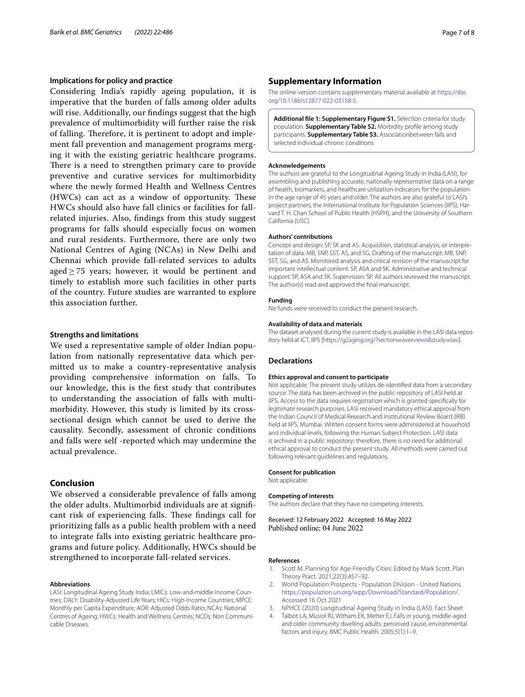## **Implications for policy and practice**

Considering India's rapidly ageing population, it is imperative that the burden of falls among older adults will rise. Additionally, our fndings suggest that the high prevalence of multimorbidity will further raise the risk of falling. Therefore, it is pertinent to adopt and implement fall prevention and management programs merging it with the existing geriatric healthcare programs. There is a need to strengthen primary care to provide preventive and curative services for multimorbidity where the newly formed Health and Wellness Centres  $(HWCs)$  can act as a window of opportunity. These HWCs should also have fall clinics or facilities for fallrelated injuries. Also, fndings from this study suggest programs for falls should especially focus on women and rural residents. Furthermore, there are only two National Centres of Aging (NCAs) in New Delhi and Chennai which provide fall-related services to adults aged  $> 75$  years; however, it would be pertinent and timely to establish more such facilities in other parts of the country. Future studies are warranted to explore this association further.

### **Strengths and limitations**

We used a representative sample of older Indian population from nationally representative data which permitted us to make a country-representative analysis providing comprehensive information on falls. To our knowledge, this is the frst study that contributes to understanding the association of falls with multimorbidity. However, this study is limited by its crosssectional design which cannot be used to derive the causality. Secondly, assessment of chronic conditions and falls were self -reported which may undermine the actual prevalence.

## **Conclusion**

We observed a considerable prevalence of falls among the older adults. Multimorbid individuals are at signifcant risk of experiencing falls. These findings call for prioritizing falls as a public health problem with a need to integrate falls into existing geriatric healthcare programs and future policy. Additionally, HWCs should be strengthened to incorporate fall-related services.

#### **Abbreviations**

LASI: Longitudinal Ageing Study India; LMICs: Low-and-middle Income Countries; DALY: Disability-Adjusted Life Years; HICs: High-Income Countries; MPCE: Monthly per Capita Expenditure; AOR: Adjusted Odds Ratio; NCAs: National Centres of Ageing; HWCs: Health and Wellness Centres; NCDs: Non Communicable Diseases.

### **Supplementary Information**

The online version contains supplementary material available at [https://doi.](https://doi.org/10.1186/s12877-022-03158-5) [org/10.1186/s12877-022-03158-5](https://doi.org/10.1186/s12877-022-03158-5).

<span id="page-6-4"></span>**Additional fle 1: Supplementary Figure S1.** Selection criteria for study population. **Supplementary Table S2.** Morbidity profle among study participants. **Supplementary Table S3.** Associationbetween falls and selected individual chronic conditions

#### **Acknowledgements**

The authors are grateful to the Longitudinal Ageing Study in India (LASI), for assembling and publishing accurate, nationally representative data on a range of health, biomarkers, and healthcare utilization indicators for the population in the age range of 45 years and older. The authors are also grateful to LASI's project partners, the International Institute for Population Sciences (IIPS), Harvard T. H. Chan School of Public Health (HSPH), and the University of Southern California (USC).

#### **Authors' contributions**

Concept and design: SP, SK and AS. Acquisition, statistical analysis, or interpretation of data: MB, SNP, SST, AS, and SG. Drafting of the manuscript: MB, SNP, SST, SG, and AS. Monitored analysis and critical revision of the manuscript for important intellectual content: SP, ASA and SK. Administrative and technical support: SP, ASA and SK. Supervision: SP. All authors reviewed the manuscript. The author(s) read and approved the fnal manuscript.

#### **Funding**

No funds were received to conduct the present research.

## **Availability of data and materials**

The dataset analysed during the current study is available in the LASI data repository held at ICT, IIPS [[https://g2aging.org/?section](https://g2aging.org/?section=overviews&study=lasi)=overviews&study=lasi].

## **Declarations**

#### **Ethics approval and consent to participate**

Not applicable. The present study utilizes de-identifed data from a secondary source. The data has been archived in the public repository of LASI held at IIPS. Access to the data requires registration which is granted specifcally for legitimate research purposes. LASI received mandatory ethical approval from the Indian Council of Medical Research and Institutional Review Board (IRB) held at IIPS, Mumbai. Written consent forms were administered at household and individual levels, following the Human Subject Protection. LASI data is archived in a public repository; therefore, there is no need for additional ethical approval to conduct the present study. All methods were carried out following relevant guidelines and regulations.

#### **Consent for publication**

Not applicable.

#### **Competing of interests**

The authors declare that they have no competing interests.

Received: 12 February 2022 Accepted: 16 May 2022 Published online: 04 June 2022

#### **References**

- <span id="page-6-0"></span>1. Scott M. Planning for Age-Friendly Cities: Edited by Mark Scott. Plan Theory Pract. 2021;22(3):457–92.
- <span id="page-6-1"></span>2. World Population Prospects - Population Division - United Nations. [https://population.un.org/wpp/Download/Standard/Population/.](https://population.un.org/wpp/Download/Standard/Population/) Accessed 16 Oct 2021
- <span id="page-6-2"></span>3. NPHCE (2020) Longitudinal Ageing Study in India (LASI). Fact Sheet
- <span id="page-6-3"></span>4. Talbot LA, Musiol RJ, Witham EK, Metter EJ. Falls in young, middle-aged and older community dwelling adults: perceived cause, environmental factors and injury. BMC Public Health. 2005;5(1):1–9.